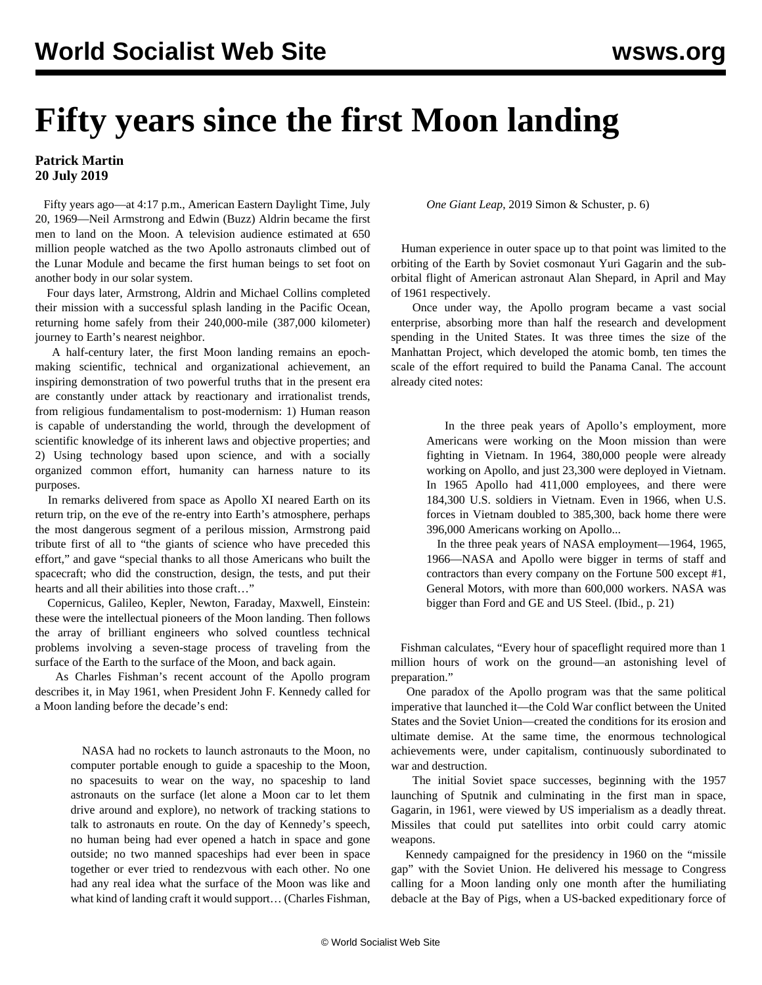## **Fifty years since the first Moon landing**

## **Patrick Martin 20 July 2019**

 Fifty years ago—at 4:17 p.m., American Eastern Daylight Time, July 20, 1969—Neil Armstrong and Edwin (Buzz) Aldrin became the first men to land on the Moon. A television audience estimated at 650 million people watched as the two Apollo astronauts climbed out of the Lunar Module and became the first human beings to set foot on another body in our solar system.

 Four days later, Armstrong, Aldrin and Michael Collins completed their mission with a successful splash landing in the Pacific Ocean, returning home safely from their 240,000-mile (387,000 kilometer) journey to Earth's nearest neighbor.

 A half-century later, the first Moon landing remains an epochmaking scientific, technical and organizational achievement, an inspiring demonstration of two powerful truths that in the present era are constantly under attack by reactionary and irrationalist trends, from religious fundamentalism to post-modernism: 1) Human reason is capable of understanding the world, through the development of scientific knowledge of its inherent laws and objective properties; and 2) Using technology based upon science, and with a socially organized common effort, humanity can harness nature to its purposes.

 In remarks delivered from space as Apollo XI neared Earth on its return trip, on the eve of the re-entry into Earth's atmosphere, perhaps the most dangerous segment of a perilous mission, Armstrong paid tribute first of all to "the giants of science who have preceded this effort," and gave "special thanks to all those Americans who built the spacecraft; who did the construction, design, the tests, and put their hearts and all their abilities into those craft…"

 Copernicus, Galileo, Kepler, Newton, Faraday, Maxwell, Einstein: these were the intellectual pioneers of the Moon landing. Then follows the array of brilliant engineers who solved countless technical problems involving a seven-stage process of traveling from the surface of the Earth to the surface of the Moon, and back again.

 As Charles Fishman's recent account of the Apollo program describes it, in May 1961, when President John F. Kennedy called for a Moon landing before the decade's end:

> NASA had no rockets to launch astronauts to the Moon, no computer portable enough to guide a spaceship to the Moon, no spacesuits to wear on the way, no spaceship to land astronauts on the surface (let alone a Moon car to let them drive around and explore), no network of tracking stations to talk to astronauts en route. On the day of Kennedy's speech, no human being had ever opened a hatch in space and gone outside; no two manned spaceships had ever been in space together or ever tried to rendezvous with each other. No one had any real idea what the surface of the Moon was like and what kind of landing craft it would support… (Charles Fishman,

*One Giant Leap*, 2019 Simon & Schuster, p. 6)

 Human experience in outer space up to that point was limited to the orbiting of the Earth by Soviet cosmonaut Yuri Gagarin and the suborbital flight of American astronaut Alan Shepard, in April and May of 1961 respectively.

 Once under way, the Apollo program became a vast social enterprise, absorbing more than half the research and development spending in the United States. It was three times the size of the Manhattan Project, which developed the atomic bomb, ten times the scale of the effort required to build the Panama Canal. The account already cited notes:

> In the three peak years of Apollo's employment, more Americans were working on the Moon mission than were fighting in Vietnam. In 1964, 380,000 people were already working on Apollo, and just 23,300 were deployed in Vietnam. In 1965 Apollo had 411,000 employees, and there were 184,300 U.S. soldiers in Vietnam. Even in 1966, when U.S. forces in Vietnam doubled to 385,300, back home there were 396,000 Americans working on Apollo...

> In the three peak years of NASA employment—1964, 1965, 1966—NASA and Apollo were bigger in terms of staff and contractors than every company on the Fortune 500 except #1, General Motors, with more than 600,000 workers. NASA was bigger than Ford and GE and US Steel. (Ibid., p. 21)

 Fishman calculates, "Every hour of spaceflight required more than 1 million hours of work on the ground—an astonishing level of preparation."

 One paradox of the Apollo program was that the same political imperative that launched it—the Cold War conflict between the United States and the Soviet Union—created the conditions for its erosion and ultimate demise. At the same time, the enormous technological achievements were, under capitalism, continuously subordinated to war and destruction.

 The initial Soviet space successes, beginning with the 1957 launching of Sputnik and culminating in the first man in space, Gagarin, in 1961, were viewed by US imperialism as a deadly threat. Missiles that could put satellites into orbit could carry atomic weapons.

 Kennedy campaigned for the presidency in 1960 on the "missile gap" with the Soviet Union. He delivered his message to Congress calling for a Moon landing only one month after the humiliating debacle at the Bay of Pigs, when a US-backed expeditionary force of